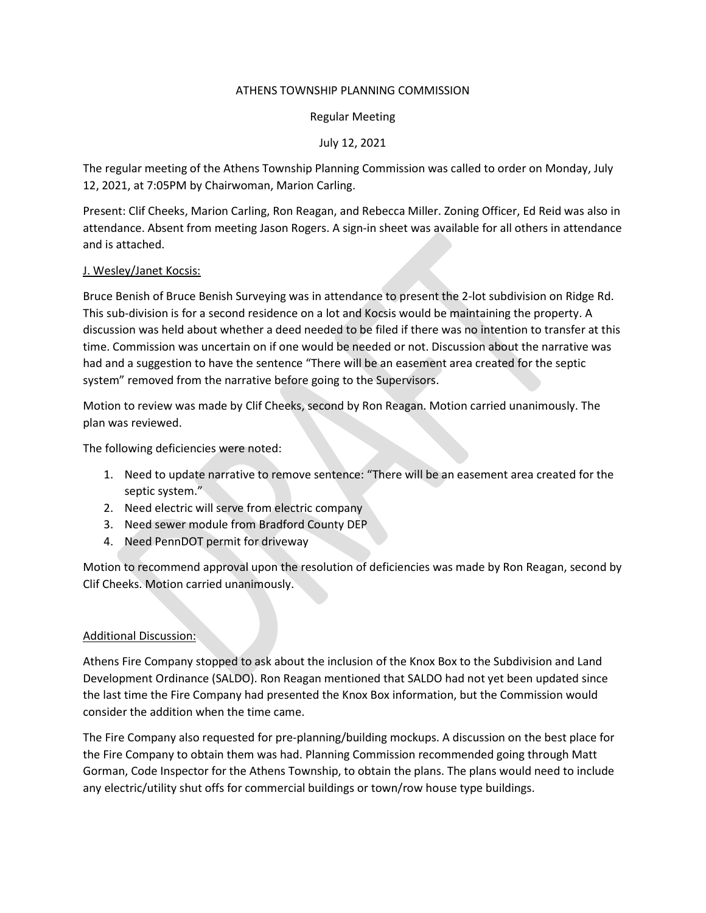### ATHENS TOWNSHIP PLANNING COMMISSION

### Regular Meeting

# July 12, 2021

The regular meeting of the Athens Township Planning Commission was called to order on Monday, July 12, 2021, at 7:05PM by Chairwoman, Marion Carling.

Present: Clif Cheeks, Marion Carling, Ron Reagan, and Rebecca Miller. Zoning Officer, Ed Reid was also in attendance. Absent from meeting Jason Rogers. A sign-in sheet was available for all others in attendance and is attached.

# J. Wesley/Janet Kocsis:

Bruce Benish of Bruce Benish Surveying was in attendance to present the 2-lot subdivision on Ridge Rd. This sub-division is for a second residence on a lot and Kocsis would be maintaining the property. A discussion was held about whether a deed needed to be filed if there was no intention to transfer at this time. Commission was uncertain on if one would be needed or not. Discussion about the narrative was had and a suggestion to have the sentence "There will be an easement area created for the septic system" removed from the narrative before going to the Supervisors.

Motion to review was made by Clif Cheeks, second by Ron Reagan. Motion carried unanimously. The plan was reviewed.

The following deficiencies were noted:

- 1. Need to update narrative to remove sentence: "There will be an easement area created for the septic system."
- 2. Need electric will serve from electric company
- 3. Need sewer module from Bradford County DEP
- 4. Need PennDOT permit for driveway

Motion to recommend approval upon the resolution of deficiencies was made by Ron Reagan, second by Clif Cheeks. Motion carried unanimously.

# Additional Discussion:

Athens Fire Company stopped to ask about the inclusion of the Knox Box to the Subdivision and Land Development Ordinance (SALDO). Ron Reagan mentioned that SALDO had not yet been updated since the last time the Fire Company had presented the Knox Box information, but the Commission would consider the addition when the time came.

The Fire Company also requested for pre-planning/building mockups. A discussion on the best place for the Fire Company to obtain them was had. Planning Commission recommended going through Matt Gorman, Code Inspector for the Athens Township, to obtain the plans. The plans would need to include any electric/utility shut offs for commercial buildings or town/row house type buildings.